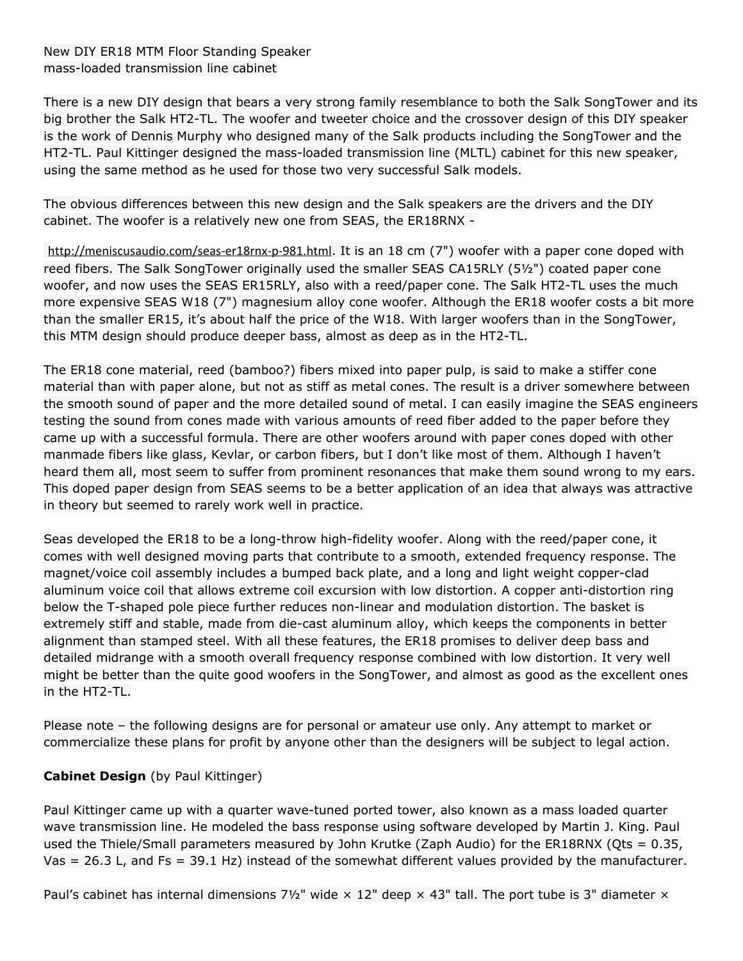## New DIY ER18 MTM Floor Standing Speaker mass-loaded transmission line cabinet

There is a new DIY design that bears a very strong family resemblance to both the Salk SongTower and its big brother the Salk HT2-TL. The woofer and tweeter choice and the crossover design of this DIY speaker is the work of Dennis Murphy who designed many of the Salk products including the SongTower and the HT2-TL. Paul Kittinger designed the mass-loaded transmission line (MLTL) cabinet for this new speaker, using the same method as he used for those two very successful Salk models.

The obvious differences between this new design and the Salk speakers are the drivers and the DIY cabinet. The woofer is a relatively new one from SEAS, the ER18RNX -

<http://meniscusaudio.com/seas-er18rnx-p-981.html>. It is an 18 cm (7") woofer with a paper cone doped with reed fibers. The Salk SongTower originally used the smaller SEAS CA15RLY (5½") coated paper cone woofer, and now uses the SEAS ER15RLY, also with a reed/paper cone. The Salk HT2-TL uses the much more expensive SEAS W18 (7") magnesium alloy cone woofer. Although the ER18 woofer costs a bit more than the smaller ER15, it's about half the price of the W18. With larger woofers than in the SongTower, this MTM design should produce deeper bass, almost as deep as in the HT2-TL.

The ER18 cone material, reed (bamboo?) fibers mixed into paper pulp, is said to make a stiffer cone material than with paper alone, but not as stiff as metal cones. The result is a driver somewhere between the smooth sound of paper and the more detailed sound of metal. I can easily imagine the SEAS engineers testing the sound from cones made with various amounts of reed fiber added to the paper before they came up with a successful formula. There are other woofers around with paper cones doped with other manmade fibers like glass, Kevlar, or carbon fibers, but I don't like most of them. Although I haven't heard them all, most seem to suffer from prominent resonances that make them sound wrong to my ears. This doped paper design from SEAS seems to be a better application of an idea that always was attractive in theory but seemed to rarely work well in practice.

Seas developed the ER18 to be a long-throw high-fidelity woofer. Along with the reed/paper cone, it comes with well designed moving parts that contribute to a smooth, extended frequency response. The magnet/voice coil assembly includes a bumped back plate, and a long and light weight copper-clad aluminum voice coil that allows extreme coil excursion with low distortion. A copper anti-distortion ring below the T-shaped pole piece further reduces non-linear and modulation distortion. The basket is extremely stiff and stable, made from die-cast aluminum alloy, which keeps the components in better alignment than stamped steel. With all these features, the ER18 promises to deliver deep bass and detailed midrange with a smooth overall frequency response combined with low distortion. It very well might be better than the quite good woofers in the SongTower, and almost as good as the excellent ones in the HT2-TL.

Please note – the following designs are for personal or amateur use only. Any attempt to market or commercialize these plans for profit by anyone other than the designers will be subject to legal action.

## **Cabinet Design** (by Paul Kittinger)

Paul Kittinger came up with a quarter wave-tuned ported tower, also known as a mass loaded quarter wave transmission line. He modeled the bass response using software developed by Martin J. King. Paul used the Thiele/Small parameters measured by John Krutke (Zaph Audio) for the ER18RNX (Qts = 0.35, Vas = 26.3 L, and Fs = 39.1 Hz) instead of the somewhat different values provided by the manufacturer.

Paul's cabinet has internal dimensions 7½" wide  $\times$  12" deep  $\times$  43" tall. The port tube is 3" diameter  $\times$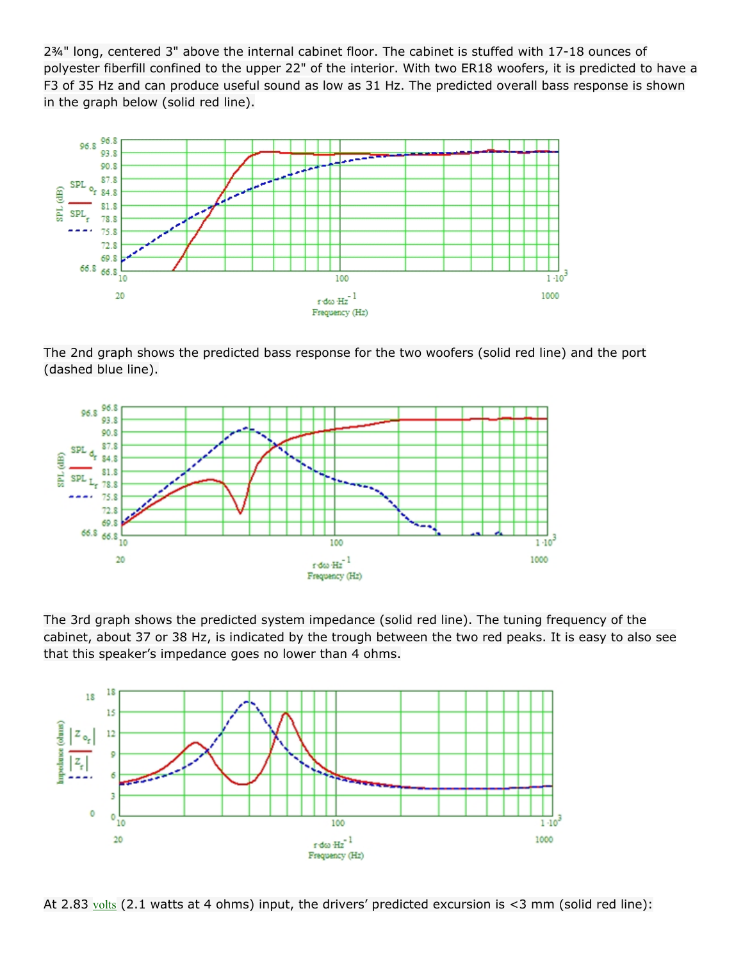2¾" long, centered 3" above the internal cabinet floor. The cabinet is stuffed with 17-18 ounces of polyester fiberfill confined to the upper 22" of the interior. With two ER18 woofers, it is predicted to have a F3 of 35 Hz and can produce useful sound as low as 31 Hz. The predicted overall bass response is shown in the graph below (solid red line).



The 2nd graph shows the predicted bass response for the two woofers (solid red line) and the port (dashed blue line).



The 3rd graph shows the predicted system impedance (solid red line). The tuning frequency of the cabinet, about 37 or 38 Hz, is indicated by the trough between the two red peaks. It is easy to also see that this speaker's impedance goes no lower than 4 ohms.



At 2.83  $\frac{\text{volts}}{\text{volts}}$  $\frac{\text{volts}}{\text{volts}}$  $\frac{\text{volts}}{\text{volts}}$  (2.1 watts at 4 ohms) input, the drivers' predicted excursion is <3 mm (solid red line):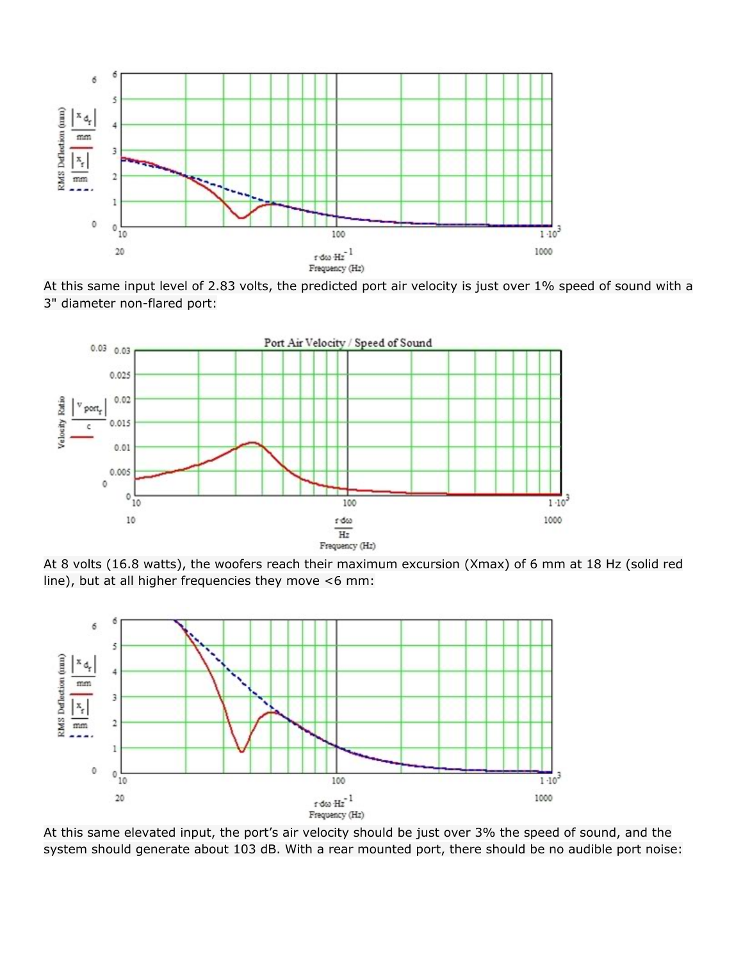





At 8 volts (16.8 watts), the woofers reach their maximum excursion (Xmax) of 6 mm at 18 Hz (solid red line), but at all higher frequencies they move <6 mm:



At this same elevated input, the port's air velocity should be just over 3% the speed of sound, and the system should generate about 103 dB. With a rear mounted port, there should be no audible port noise: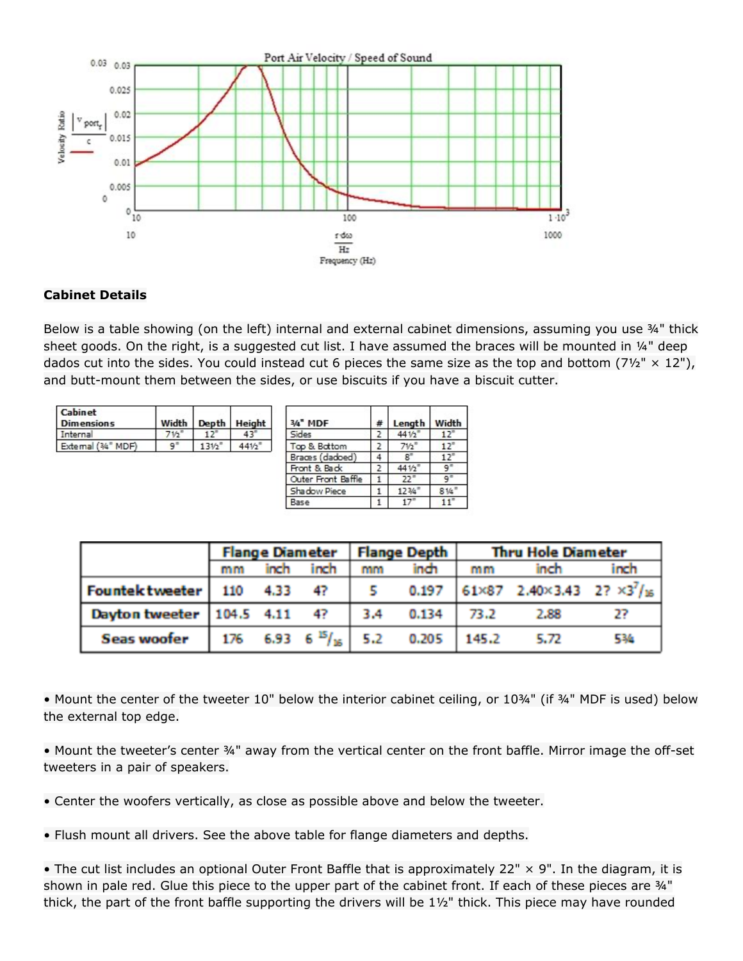

## **Cabinet Details**

Below is a table showing (on the left) internal and external cabinet dimensions, assuming you use 34" thick sheet goods. On the right, is a suggested cut list. I have assumed the braces will be mounted in 1/4" deep dados cut into the sides. You could instead cut 6 pieces the same size as the top and bottom (7½"  $\times$  12"), and butt-mount them between the sides, or use biscuits if you have a biscuit cutter.

| <b>Cabinet</b><br><b>Dimensions</b> | Width Depth Height |       |
|-------------------------------------|--------------------|-------|
| Internal                            |                    |       |
| External (34" MDF)                  | 1316               | 441/5 |
|                                     |                    |       |

| 3/4" MDF           | # | Length | Width           |
|--------------------|---|--------|-----------------|
| Sides              | 2 | 441/2  | 12 <sup>7</sup> |
| Top & Bottom       |   | 71/2   | 12 <sup>n</sup> |
| Braces (dadoed)    |   |        | 12'             |
| Front & Back       |   | 441/2  |                 |
| Outer Front Baffle |   | 22'    |                 |
| Shadow Piece       |   | 1234   | 814             |
| Base               |   | 17     | 11              |

|                                | Flange Diameter   Flange Depth |      |                       |     | <b>Thru Hole Diameter</b> |       |                                                    |      |
|--------------------------------|--------------------------------|------|-----------------------|-----|---------------------------|-------|----------------------------------------------------|------|
|                                | mm                             | inch | inch                  | mm  | inch                      | mm    | inch                                               | inch |
| <b>Fountektweeter</b>          | 110                            | 4.33 | 4?                    |     | 0.197                     |       | 61×87 2.40×3.43 2? ×3 <sup>7</sup> / <sub>16</sub> |      |
| Dayton tweeter   104.5 4.11 4? |                                |      |                       | 3.4 | 0.134                     | 73.2  | 2.88                                               |      |
| <b>Seas woofer</b>             |                                |      | 176 6.93 6 $5/16$ 5.2 |     | 0.205                     | 145.2 | 5.72                                               | 534  |

• Mount the center of the tweeter 10" below the interior cabinet ceiling, or 10¾" (if ¾" MDF is used) below the external top edge.

• Mount the tweeter's center ¾" away from the vertical center on the front baffle. Mirror image the off-set tweeters in a pair of speakers.

• Center the woofers vertically, as close as possible above and below the tweeter.

• Flush mount all drivers. See the above table for flange diameters and depths.

• The cut list includes an optional Outer Front Baffle that is approximately 22" × 9". In the diagram, it is shown in pale red. Glue this piece to the upper part of the cabinet front. If each of these pieces are 34" thick, the part of the front baffle supporting the drivers will be  $1\frac{1}{2}$ " thick. This piece may have rounded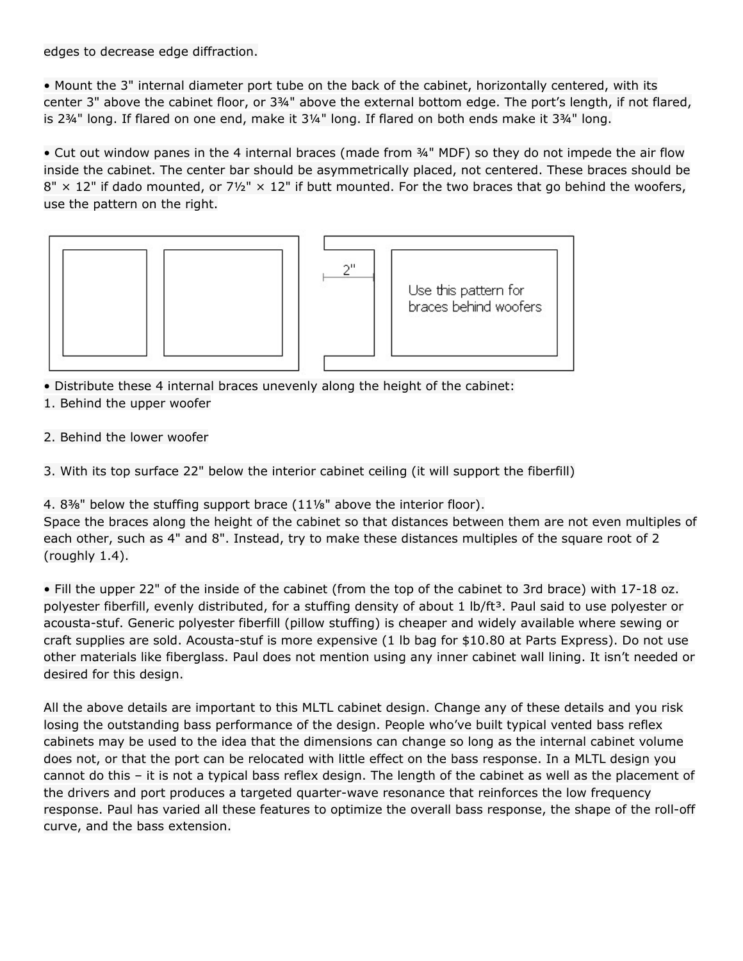edges to decrease edge diffraction.

• Mount the 3" internal diameter port tube on the back of the cabinet, horizontally centered, with its center 3" above the cabinet floor, or 3¾" above the external bottom edge. The port's length, if not flared, is 2¾" long. If flared on one end, make it 3¼" long. If flared on both ends make it 3¾" long.

• Cut out window panes in the 4 internal braces (made from ¾" MDF) so they do not impede the air flow inside the cabinet. The center bar should be asymmetrically placed, not centered. These braces should be  $8'' \times 12''$  if dado mounted, or  $7\frac{1}{2}'' \times 12''$  if butt mounted. For the two braces that go behind the woofers, use the pattern on the right.



• Distribute these 4 internal braces unevenly along the height of the cabinet:

- 1. Behind the upper woofer
- 2. Behind the lower woofer

3. With its top surface 22" below the interior cabinet ceiling (it will support the fiberfill)

4. 8<sup>3</sup>/<sub>8</sub>" below the stuffing support brace  $(11\frac{1}{8})$ " above the interior floor).

Space the braces along the height of the cabinet so that distances between them are not even multiples of each other, such as 4" and 8". Instead, try to make these distances multiples of the square root of 2 (roughly 1.4).

• Fill the upper 22" of the inside of the cabinet (from the top of the cabinet to 3rd brace) with 17-18 oz. polyester fiberfill, evenly distributed, for a stuffing density of about 1 lb/ft<sup>3</sup>. Paul said to use polyester or acousta-stuf. Generic polyester fiberfill (pillow stuffing) is cheaper and widely available where sewing or craft supplies are sold. Acousta-stuf is more expensive (1 lb bag for \$10.80 at Parts Express). Do not use other materials like fiberglass. Paul does not mention using any inner cabinet wall lining. It isn't needed or desired for this design.

All the above details are important to this MLTL cabinet design. Change any of these details and you risk losing the outstanding bass performance of the design. People who've built typical vented bass reflex cabinets may be used to the idea that the dimensions can change so long as the internal cabinet volume does not, or that the port can be relocated with little effect on the bass response. In a MLTL design you cannot do this – it is not a typical bass reflex design. The length of the cabinet as well as the placement of the drivers and port produces a targeted quarter-wave resonance that reinforces the low frequency response. Paul has varied all these features to optimize the overall bass response, the shape of the roll-off curve, and the bass extension.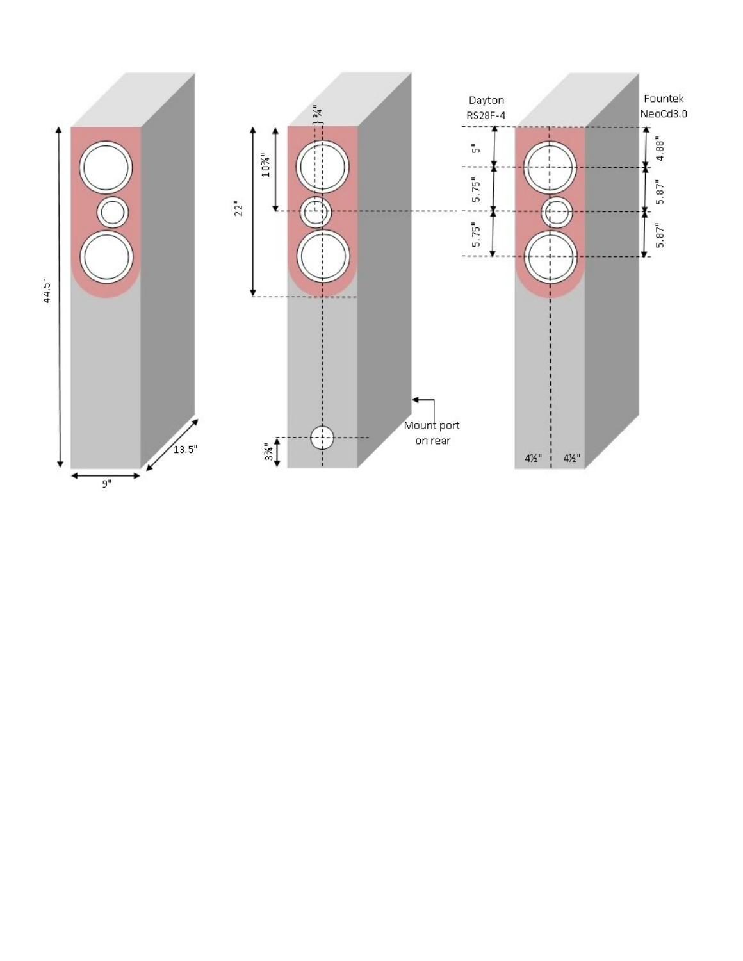